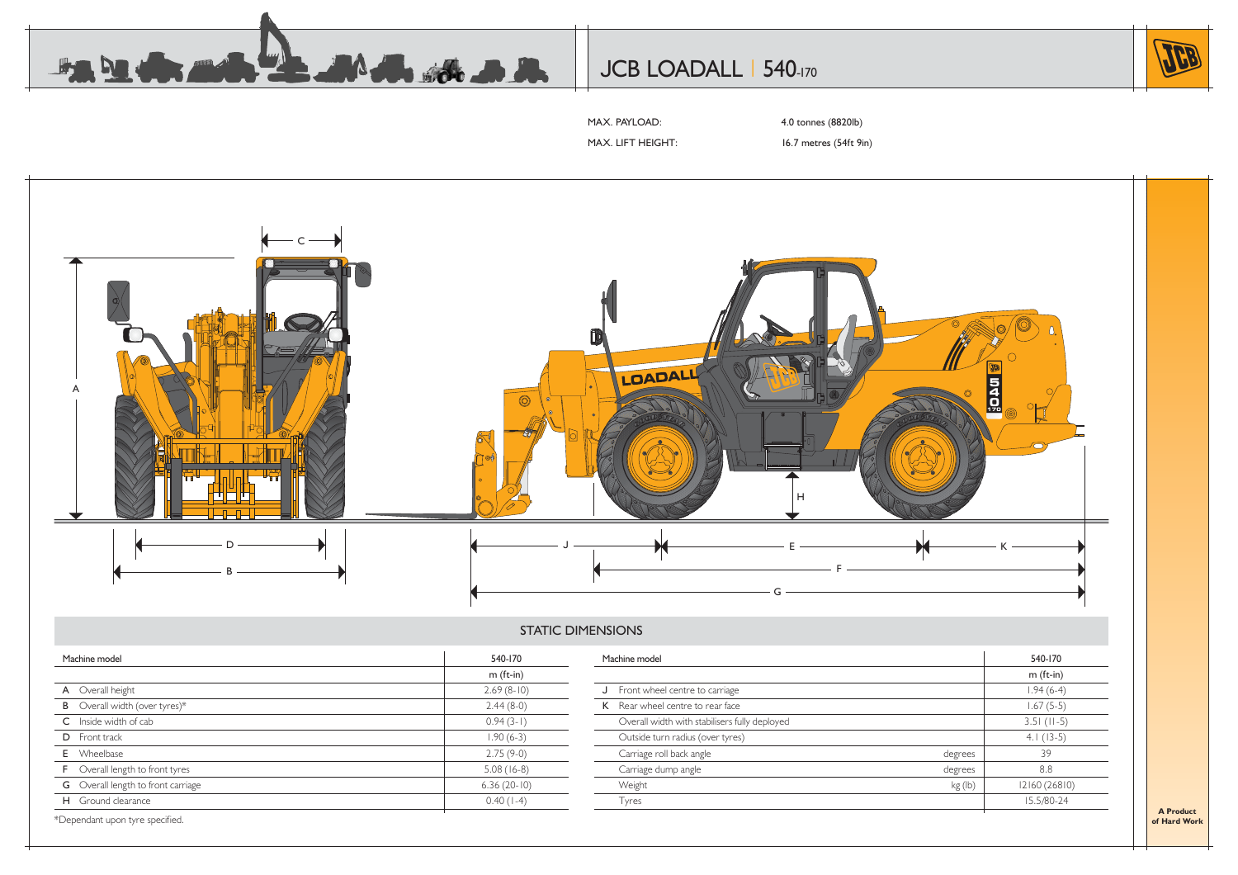

# JCB LOADALL | 540-170



MAX. PAYLOAD: 4.0 tonnes (8820lb)

MAX. LIFT HEIGHT: 16.7 metres (54ft 9in)



#### STATIC DIMENSIONS

| Machine model                             | 540-170       | Machine model                                 |         | 540-170       |  |
|-------------------------------------------|---------------|-----------------------------------------------|---------|---------------|--|
|                                           | $m$ (ft-in)   |                                               |         | $m$ (ft-in)   |  |
| A Overall height                          | $2.69(8-10)$  | J Front wheel centre to carriage              |         | $1.94(6-4)$   |  |
| <b>B</b> Overall width (over tyres)*      | $2.44(8-0)$   | K Rear wheel centre to rear face              |         | $1.67(5-5)$   |  |
| C Inside width of cab                     | $0.94(3-1)$   | Overall width with stabilisers fully deployed |         | $3.51$ (II-5) |  |
| <b>D</b> Front track                      | $1.90(6-3)$   | Outside turn radius (over tyres)              |         | $4.1(13-5)$   |  |
| <b>E</b> Wheelbase                        | $2.75(9-0)$   | Carriage roll back angle                      | degrees | 39            |  |
| <b>F</b> Overall length to front tyres    | $5.08(16-8)$  | Carriage dump angle                           | degrees | 8.8           |  |
| <b>G</b> Overall length to front carriage | $6.36(20-10)$ | Weight                                        | kg (lb) | 12160 (26810) |  |
| H Ground clearance                        | $0.40(1-4)$   | Tyres                                         |         | 15.5/80-24    |  |

\*Dependant upon tyre specified.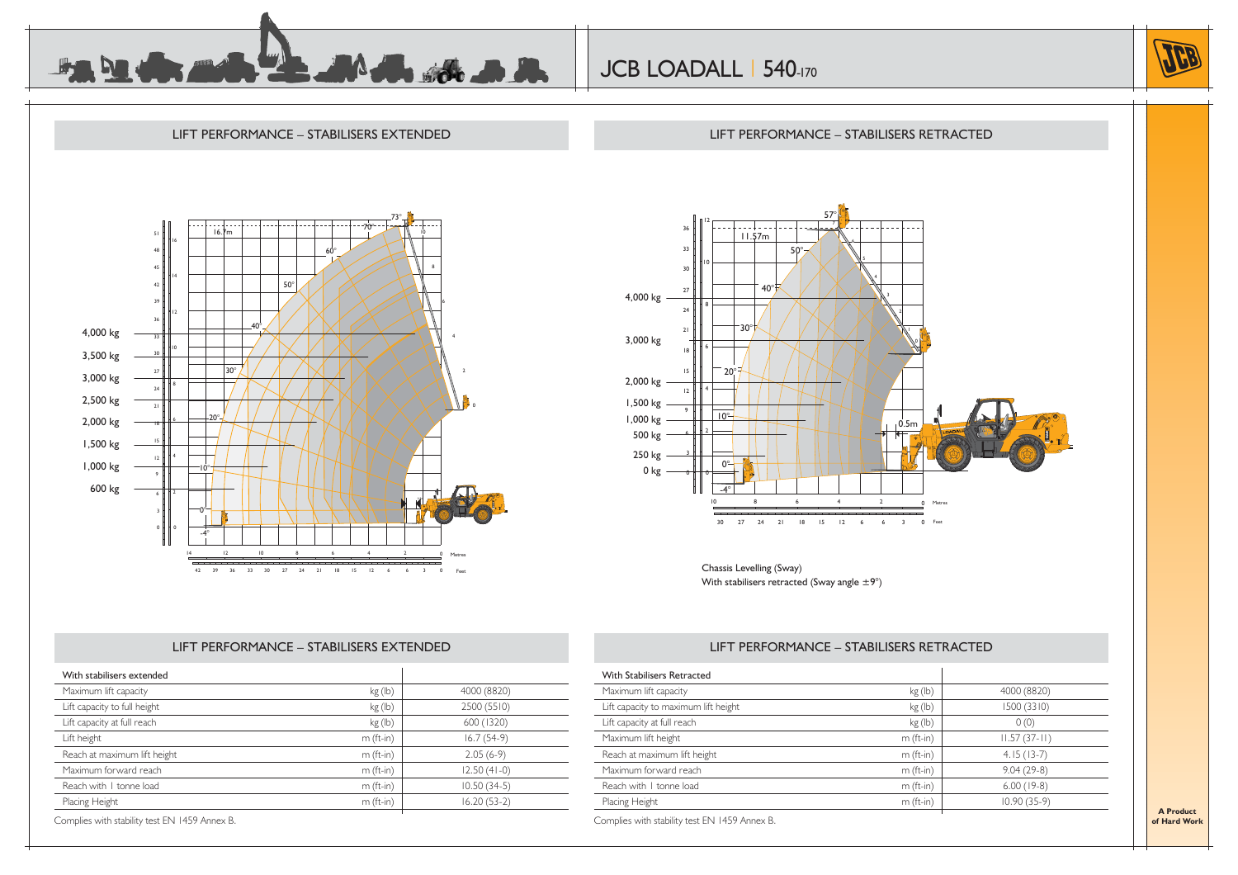

JCB LOADALL | 540-170



#### LIFT PERFORMANCE – STABILISERS EXTENDED73°70°16.7m51164860°84514 $50$ 4239123640°4,000 kg 334103,500 kg 3030°3,000 kg 27242,500 kg 212,000 kg 20°6181,500 kg 152 H H 4 121,000 kg 10°9 600 kg 60.5m0°-4°14 10 8 6 4 12 2 0Metres $\overline{\phantom{a}}$ <u>saatidesse</u><br>Tagasidesse  $42$  $<sub>3</sub>$ </sub> 612 39 36 33 30 27 24 21 18 15 6

#### LIFT PERFORMANCE – STABILISERS RETRACTED



Chassis Levelling (Sway) With stabilisers retracted (Sway angle  $\pm 9^{\circ}$ )

#### LIFT PERFORMANCE – STABILISERS EXTENDED

| kg(h)       | 4000 (8820)   |
|-------------|---------------|
| kg (lb)     | 2500 (5510)   |
| kg(h)       | 600 (1320)    |
| $m$ (ft-in) | $16.7(54-9)$  |
| $m$ (ft-in) | $2.05(6-9)$   |
| $m$ (ft-in) | $12.50(41-0)$ |
| $m$ (ft-in) | $10.50(34-5)$ |
| $m$ (ft-in) | $16.20(53-2)$ |
|             |               |

### LIFT PERFORMANCE – STABILISERS RETRACTED

| Maximum lift capacity                | kg (lb)     | 4000 (8820)    |
|--------------------------------------|-------------|----------------|
| Lift capacity to maximum lift height | kg (lb)     | 1500 (3310)    |
| Lift capacity at full reach          | kg (lb)     | 0(0)           |
| Maximum lift height                  | $m$ (ft-in) | $11.57(37-11)$ |
| Reach at maximum lift height         | $m$ (ft-in) | $4.15(13-7)$   |
| Maximum forward reach                | $m$ (ft-in) | $9.04(29-8)$   |
| Reach with 1 tonne load              | $m$ (ft-in) | $6.00(19-8)$   |
| Placing Height                       | $m$ (ft-in) | $10.90(35-9)$  |

**A Productof Hard Work**